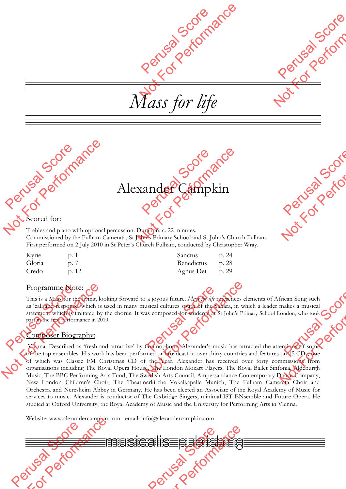

Programme Note:

This is a Mass for the living, looking forward to a joyous future. *Mass for life* references elements of African Song such as 'call and response which is used in many musical cultures south of the Sahara, in which a leader makes a musical statement which is imitated by the chorus. It was composed for students at St John's Primary School London, who took part in the first performance in 2010.

## Composer Biography:

Vienna. Described as 'fresh and attractive' by Gramophone, Alexander's music has attracted the attentions of some of the top ensembles. His work has been performed or broadcast in over thirty countries and features on 15 CDs, one of which was Classic FM Christmas CD of the Year. Alexander has received over forty commissions from organisations including The Royal Opera House, The London Mozart Players, The Royal Ballet Sinfonia, Aldeburgh of which was Classic FM Christmas CD of the Year. Alexander has received over forty commissions from organisations including The Royal Opera House. The London Mozart Players, The Royal Ballet Sinfonia, Aldeburgh Music, The New London Children's Choir, The Theatinerkirche Vokalkapelle Munich, The Fulham Camerata Choir and Orchestra and Neresheim Abbey in Germany. He has been elected an Associate of the Royal Academy of Music for services to music. Alexander is conductor of The Oxbridge Singers, minimaLIST ENsemble and Future Opera. He studied at Oxford University, the Royal Academy of Music and the University for Performing Arts in Vienna.

Website: www.alexandercampkin.com email: info@alexandercampkin.com

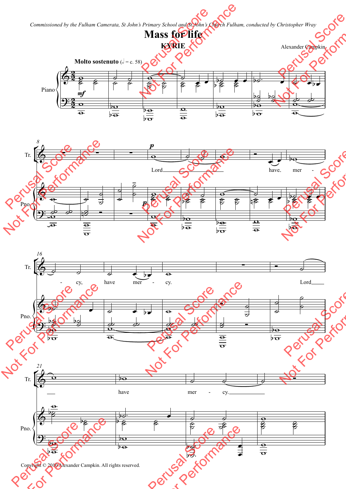



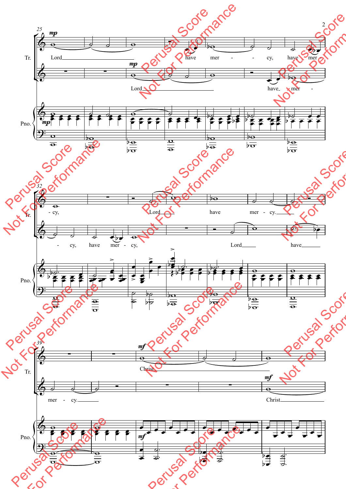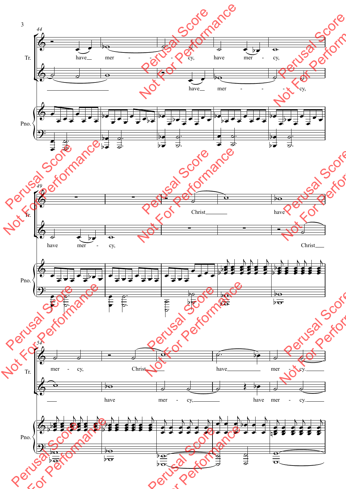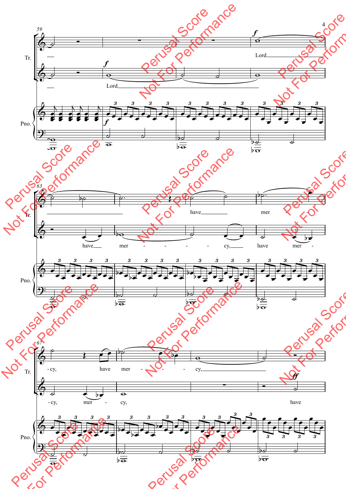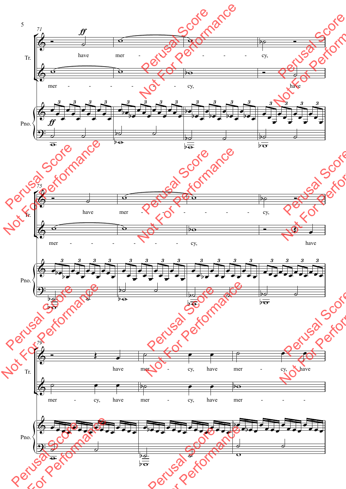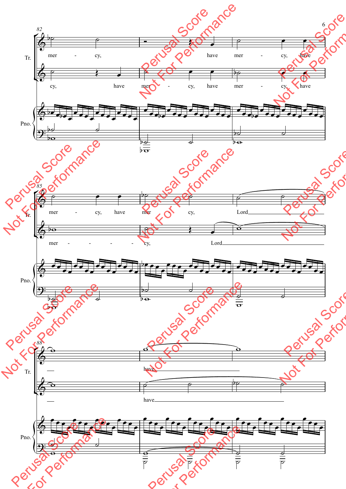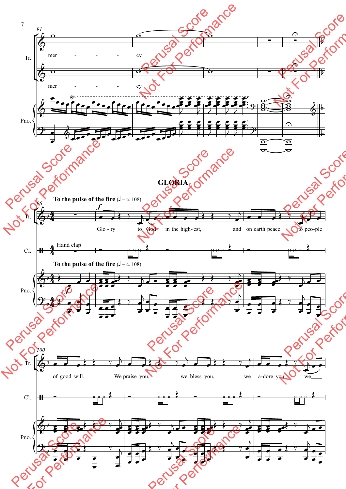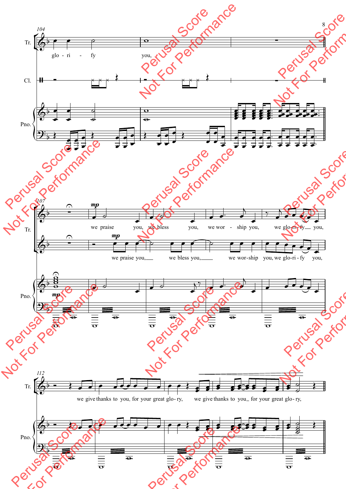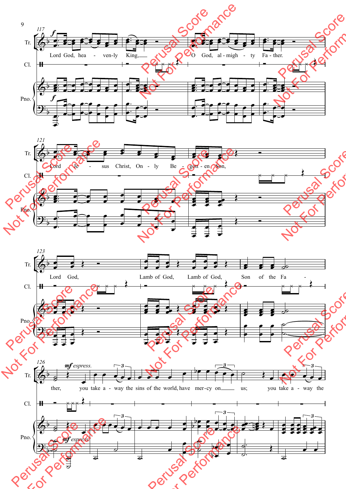



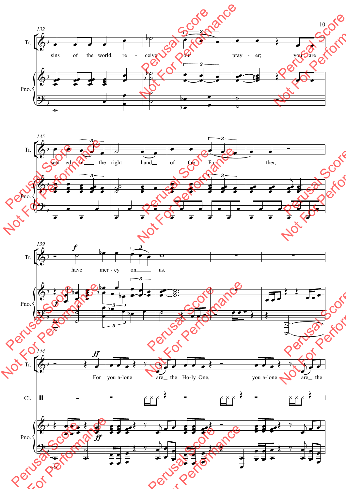

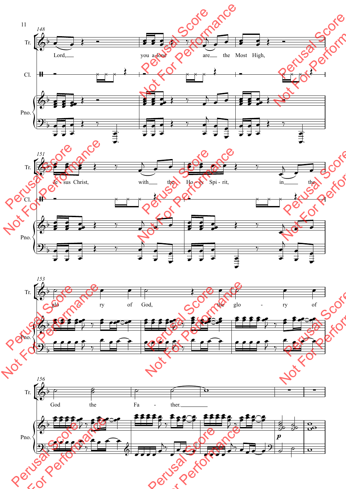

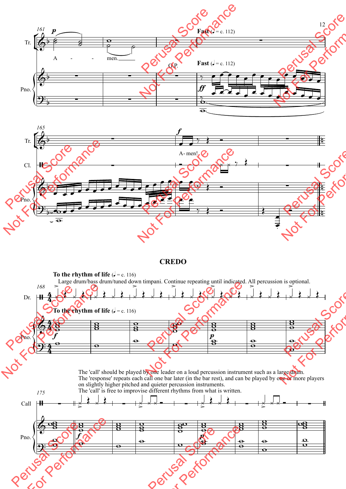



**CREDO**

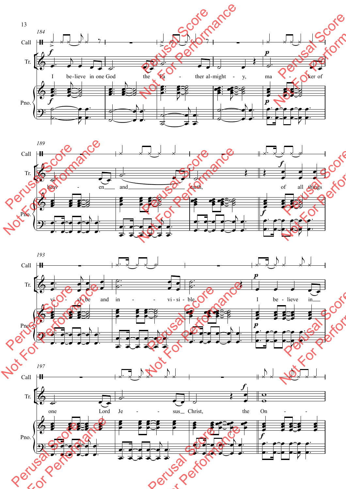



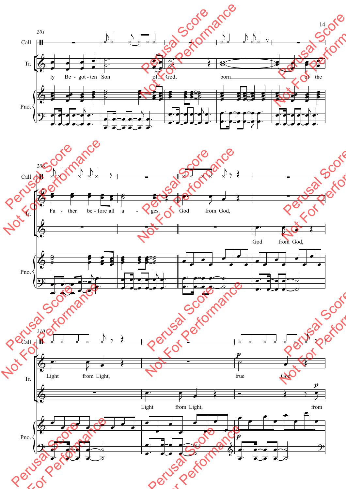

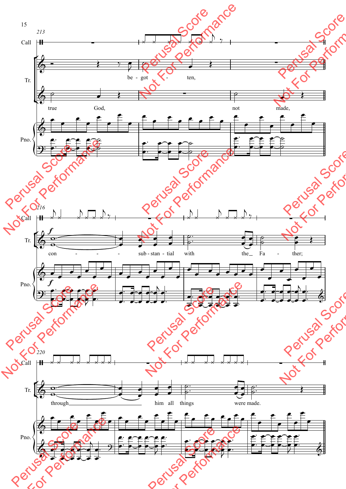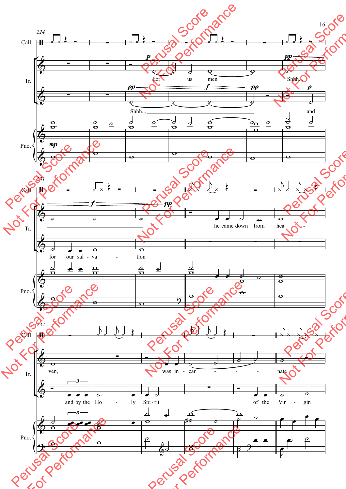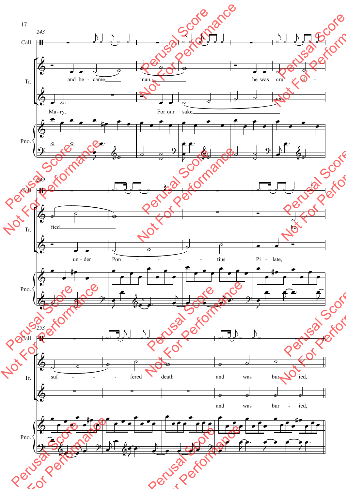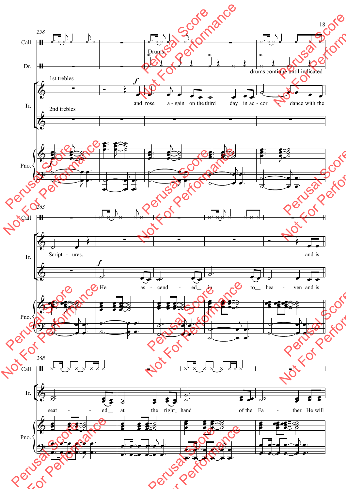![](_page_18_Figure_0.jpeg)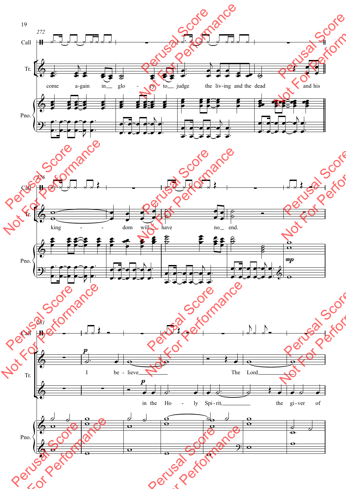![](_page_19_Figure_0.jpeg)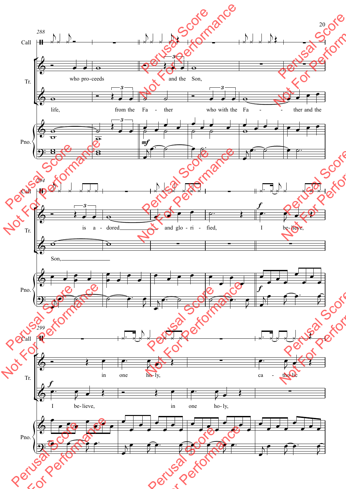![](_page_20_Figure_0.jpeg)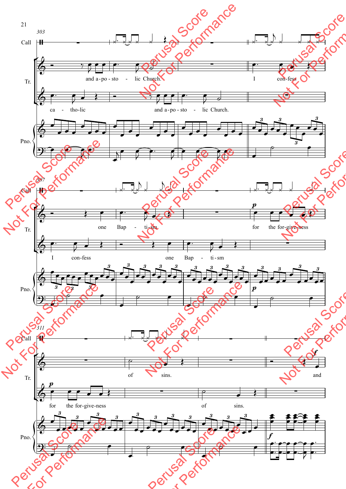![](_page_21_Figure_0.jpeg)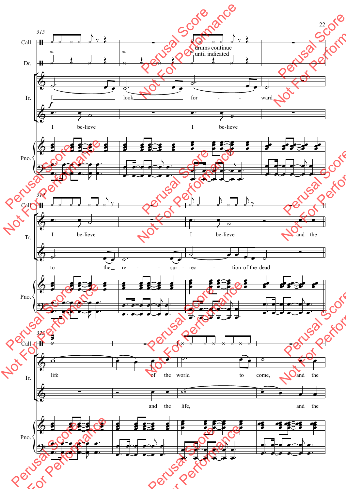![](_page_22_Figure_0.jpeg)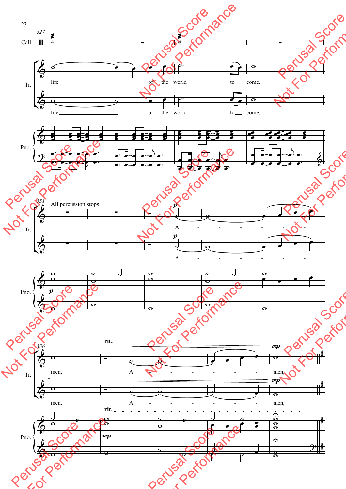![](_page_23_Figure_0.jpeg)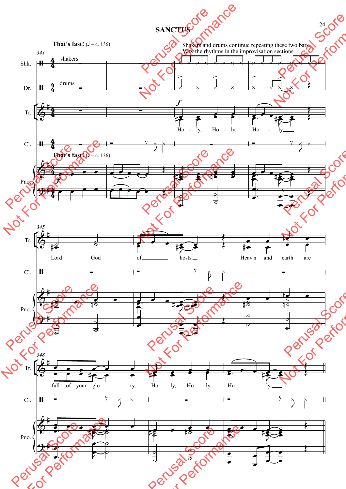![](_page_24_Figure_0.jpeg)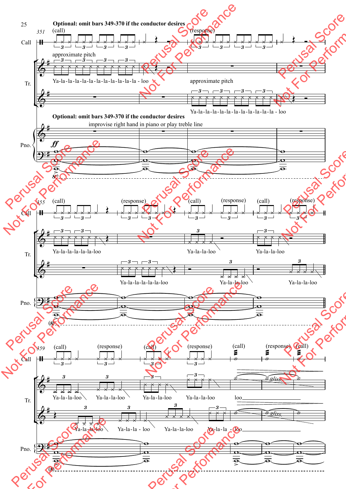![](_page_25_Figure_0.jpeg)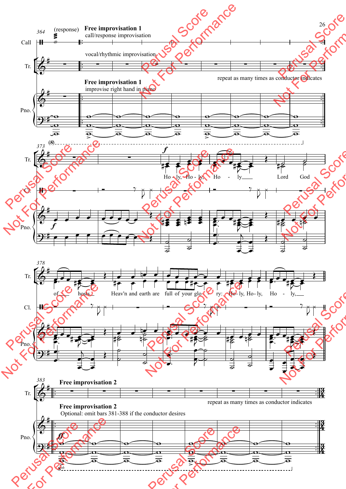![](_page_26_Figure_0.jpeg)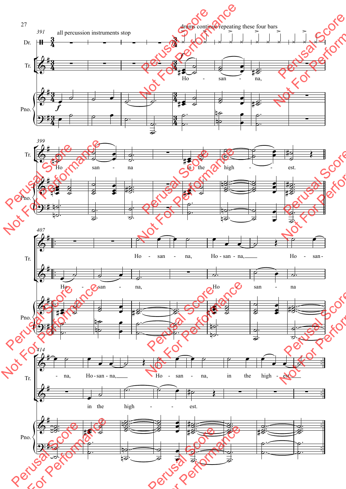![](_page_27_Figure_0.jpeg)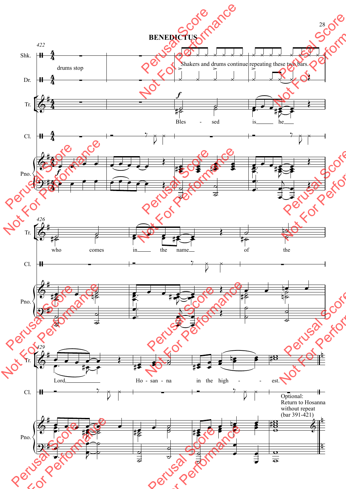![](_page_28_Figure_0.jpeg)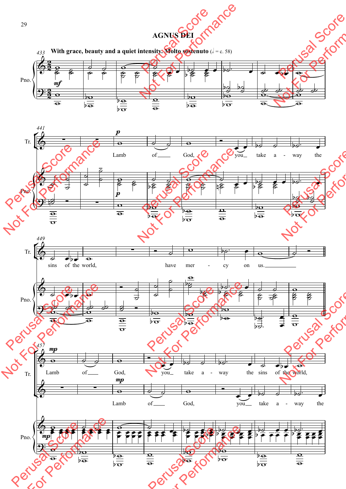![](_page_29_Figure_0.jpeg)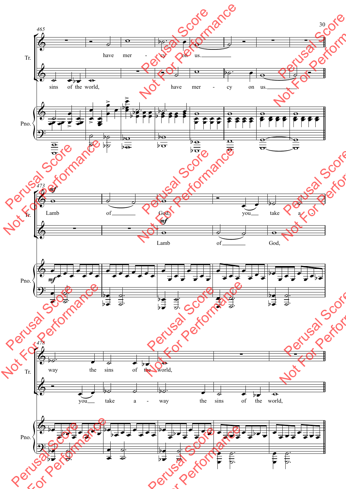![](_page_30_Figure_0.jpeg)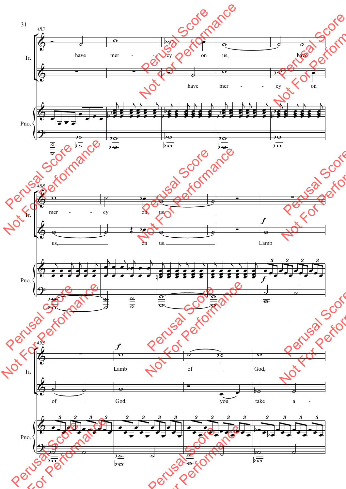![](_page_31_Figure_0.jpeg)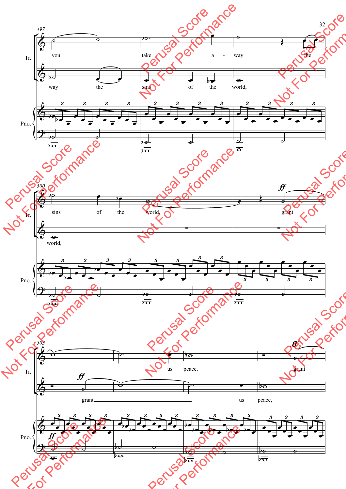![](_page_32_Figure_0.jpeg)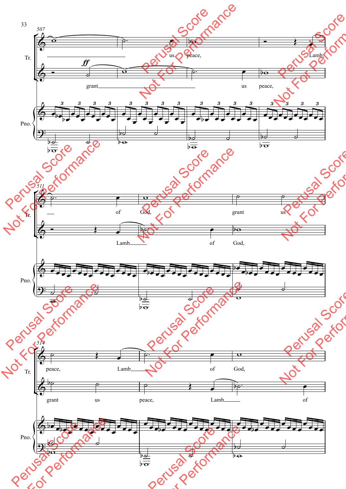![](_page_33_Figure_0.jpeg)